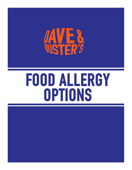

# food allergy options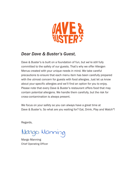

### *Dear Dave & Buster's Guest,*

Dave & Buster's is built on a foundation of fun, but we're still fully committed to the safety of our guests. That's why we offer Allergen Menus created with your unique needs in mind. We take careful precautions to ensure that each menu item has been carefully prepared with the utmost concern for guests with food allergies. Just let us know about your specific allergies and we'll find an option for you to enjoy. Please note that every Dave & Buster's restaurant offers food that may contain potential allergens. We handle them carefully, but the risk for cross-contamination is always present.

We focus on your safety so you can always have a great time at Dave & Buster's. So what are you waiting for? Eat, Drink, Play and Watch®!

Regards,

Mango Manning

Margo Manning Chief Operating Officer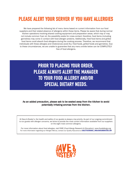## PLEASE ALERT YOUR SERVER IF YOU HAVE ALLERGIES

We have prepared the following list of menu items based on current information from our food suppliers and their stated absence of allergens within these items. Please be aware that during normal kitchen operations involving shared cooking equipment and preparation areas, which may or may not include common fryer oil, the possibility exists for cross-contact; therefore, food items (including garnishes) may come in contact with food allergen proteins. Additionally, fried food items and grilled food items could absorb food allergens during the cooking process. Therefore, we recommend that individuals with these allergies and intolerances avoid ALL fried foods, grilled foods and garnishes. Due to these circumstances, we are unable to guarantee that any menu entrée below can be COMPLETELY free of food allergens.

## Prior to placing your order, please always alert the manager to your food allergy and/or special dietary needs.

#### As an added precaution, please ask to be seated away from the kitchen to avoid potentially irritating aromas from the kitchen.

At Dave & Buster's, the health and safety of our guests is always a top priority. As part of our ongoing commitment to our guests with allergen concerns, we strive to provide the most current information available from our suppliers on the eight most common allergens.

For more information about food allergies, visit FARE (Food Allergy Research & Education): www.foodallergy.org For more information regarding our Allergen Menus, contact our Quality Assurance at QUALITYASSURANCE\_WHQ@DAVEANDBUSTERS.COM